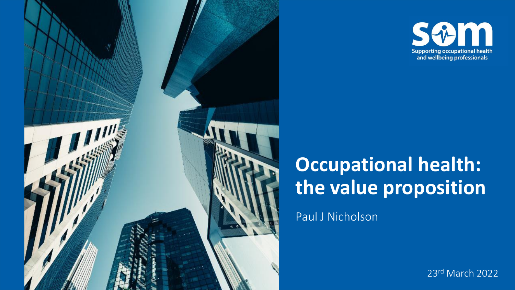



# **Occupational health: the value proposition**

Paul J Nicholson

23rd March 2022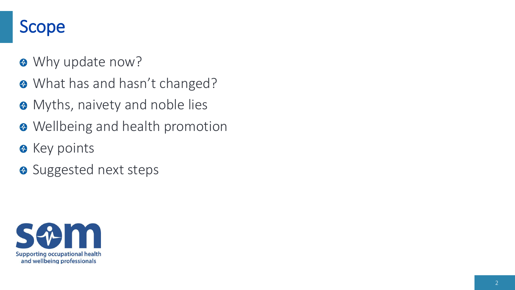## Scope

- **<sup>®</sup>** Why update now?
- **What has and hasn't changed?**
- **<sup>®</sup>** Myths, naivety and noble lies
- $\bullet$  Wellbeing and health promotion
- **R** Key points
- **O** Suggested next steps

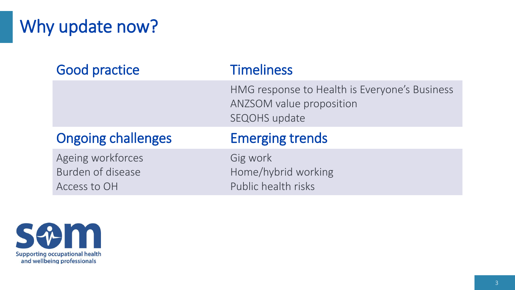# Why update now?

| <b>Good practice</b>      | <b>Timeliness</b>                                                                                        |
|---------------------------|----------------------------------------------------------------------------------------------------------|
|                           | HMG response to Health is Everyone's Business<br><b>ANZSOM value proposition</b><br><b>SEQOHS</b> update |
|                           |                                                                                                          |
| <b>Ongoing challenges</b> | <b>Emerging trends</b>                                                                                   |

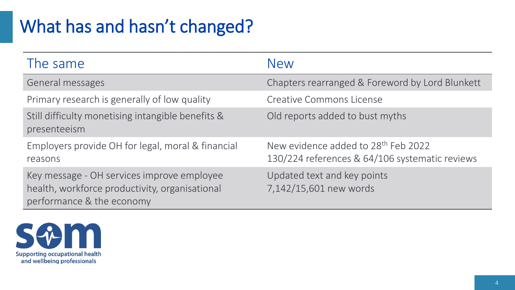# What has and hasn't changed?

| The same                                                                                                                  | <b>New</b>                                                                                        |
|---------------------------------------------------------------------------------------------------------------------------|---------------------------------------------------------------------------------------------------|
| General messages                                                                                                          | Chapters rearranged & Foreword by Lord Blunkett                                                   |
| Primary research is generally of low quality                                                                              | <b>Creative Commons License</b>                                                                   |
| Still difficulty monetising intangible benefits &<br>presenteeism                                                         | Old reports added to bust myths                                                                   |
| Employers provide OH for legal, moral & financial<br>reasons                                                              | New evidence added to 28 <sup>th</sup> Feb 2022<br>130/224 references & 64/106 systematic reviews |
| Key message - OH services improve employee<br>health, workforce productivity, organisational<br>performance & the economy | Updated text and key points<br>7,142/15,601 new words                                             |

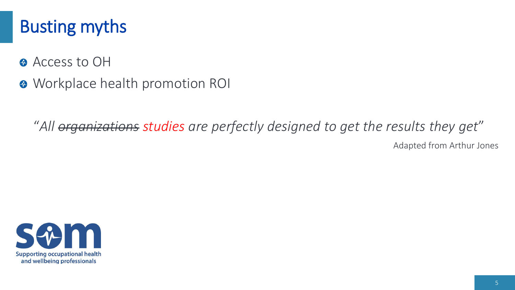## Busting myths

- <sup> $\odot$ </sup> Access to OH
- **<sup>O</sup>** Workplace health promotion ROI

"*All organizations studies are perfectly designed to get the results they get*" Adapted from Arthur Jones

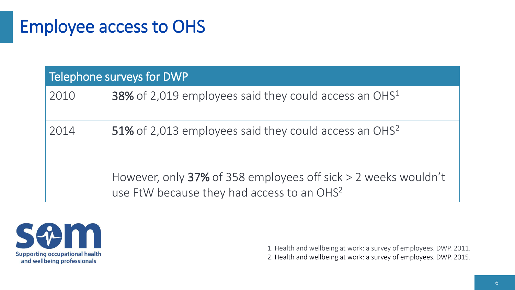### Employee access to OHS

| Telephone surveys for DWP |                                                                                                                               |
|---------------------------|-------------------------------------------------------------------------------------------------------------------------------|
| 2010                      | <b>38%</b> of 2,019 employees said they could access an OHS <sup>1</sup>                                                      |
| 2014                      | 51% of 2,013 employees said they could access an OHS <sup>2</sup>                                                             |
|                           | However, only $37\%$ of 358 employees off sick $> 2$ weeks wouldn't<br>use FtW because they had access to an OHS <sup>2</sup> |



1. Health and wellbeing at work: a survey of employees. DWP. 2011. 2. Health and wellbeing at work: a survey of employees. DWP. 2015.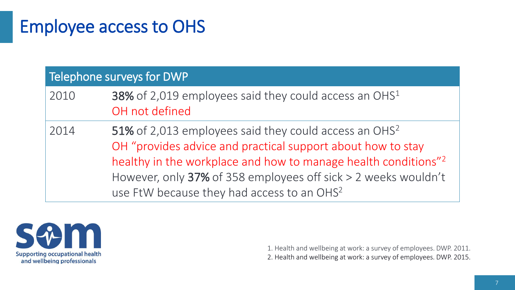## Employee access to OHS

#### Telephone surveys for DWP

- 2010 38% of 2,019 employees said they could access an OHS<sup>1</sup> OH not defined
- 2014 51% of 2,013 employees said they could access an OHS<sup>2</sup> OH "provides advice and practical support about how to stay healthy in the workplace and how to manage health conditions"<sup>2</sup> However, only 37% of 358 employees off sick > 2 weeks wouldn't use FtW because they had access to an OHS<sup>2</sup>



1. Health and wellbeing at work: a survey of employees. DWP. 2011. 2. Health and wellbeing at work: a survey of employees. DWP. 2015.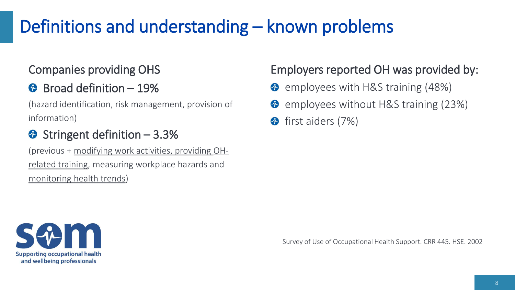# Definitions and understanding – known problems

#### Companies providing OHS

### $\bullet$  Broad definition - 19%

(hazard identification, risk management, provision of information)

### $\bullet$  Stringent definition – 3.3%

(previous + modifying work activities, providing OHrelated training, measuring workplace hazards and monitoring health trends)

#### Employers reported OH was provided by:

- **C** employees with H&S training (48%)
- **O** employees without H&S training (23%)
- $\bigoplus$ first aiders (7%)



Survey of Use of Occupational Health Support. CRR 445. HSE. 2002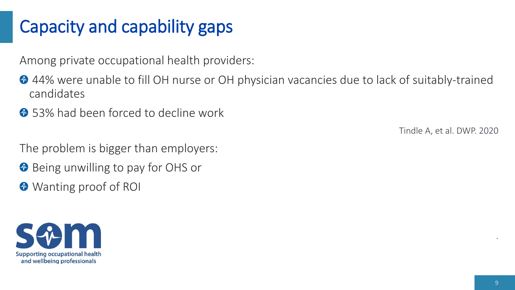# Capacity and capability gaps

Among private occupational health providers:

- <sup>2</sup>44% were unable to fill OH nurse or OH physician vacancies due to lack of suitably-trained candidates
- **1** 53% had been forced to decline work

Tindle A, et al. DWP. 2020

- The problem is bigger than employers:
- **Being unwilling to pay for OHS or**
- Wanting proof of ROI



.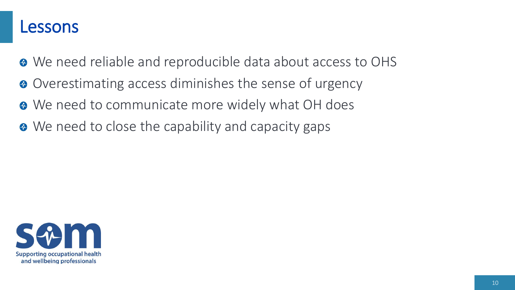### Lessons

- We need reliable and reproducible data about access to OHS
- Overestimating access diminishes the sense of urgency
- $\bullet$  We need to communicate more widely what OH does
- We need to close the capability and capacity gaps

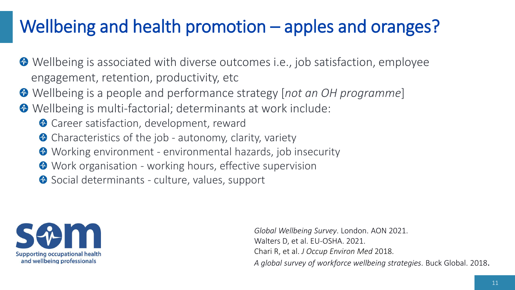# Wellbeing and health promotion – apples and oranges?

- Wellbeing is associated with diverse outcomes i.e., job satisfaction, employee engagement, retention, productivity, etc
- Wellbeing is a people and performance strategy [*not an OH programme*]
- Wellbeing is multi-factorial; determinants at work include:
	- **Career satisfaction, development, reward**
	- <sup>o</sup> Characteristics of the job autonomy, clarity, variety
	- Working environment environmental hazards, job insecurity
	- **Work organisation working hours, effective supervision**
	- Social determinants culture, values, support



*Global Wellbeing Survey*. London. AON 2021. Walters D, et al. EU-OSHA. 2021. Chari R, et al. *J Occup Environ Med* 2018. *A global survey of workforce wellbeing strategies*. Buck Global. 2018.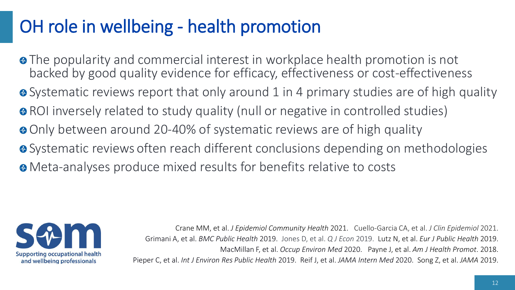# OH role in wellbeing - health promotion

• The popularity and commercial interest in workplace health promotion is not backed by good quality evidence for efficacy, effectiveness or cost-effectiveness • Systematic reviews report that only around 1 in 4 primary studies are of high quality • ROI inversely related to study quality (null or negative in controlled studies) • Only between around 20-40% of systematic reviews are of high quality **•** Systematic reviews often reach different conclusions depending on methodologies Meta-analyses produce mixed results for benefits relative to costs



Crane MM, et al. *J Epidemiol Community Health* 2021. Cuello-Garcia CA, et al. *J Clin Epidemiol* 2021. Grimani A, et al. *BMC Public Health* 2019. Jones D, et al. *Q J Econ* 2019. Lutz N, et al. *Eur J Public Health* 2019. MacMillan F, et al. *Occup Environ Med* 2020. Payne J, et al. *Am J Health Promot*. 2018. Pieper C, et al. *Int J Environ Res Public Health* 2019. Reif J, et al. *JAMA Intern Med* 2020. Song Z, et al. *JAMA* 2019.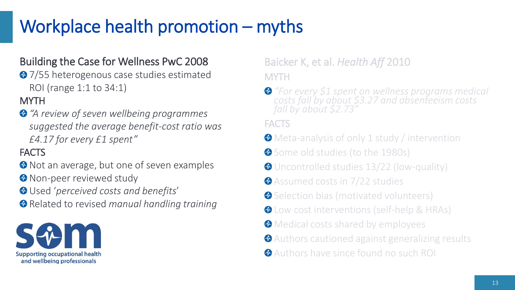# Workplace health promotion – myths

#### Building the Case for Wellness PwC 2008

<sup>2</sup>7/55 heterogenous case studies estimated ROI (range 1:1 to 34:1)

#### **MYTH**

*"A review of seven wellbeing programmes suggested the average benefit-cost ratio was £4.17 for every £1 spent"*

#### **FACTS**

- $\bullet$  Not an average, but one of seven examples **<sup>3</sup>** Non-peer reviewed study
- Used '*perceived costs and benefits*'
- Related to revised *manual handling training*



Baicker K, et al. *Health Aff* 2010 MYTH

*"For every \$1 spent on wellness programs medical costs fall by about \$3.27 and absenteeism costs fall by about \$2.73"*

#### FACTS

- **Meta-analysis of only 1 study / intervention**
- Some old studies (to the 1980s)
- Uncontrolled studies 13/22 (low-quality)
- **Assumed costs in 7/22 studies**
- Selection bias (motivated volunteers)
- **<sup>O</sup>** Low cost interventions (self-help & HRAs)
- **<sup>3</sup>** Medical costs shared by employees
- Authors cautioned against generalizing results
- Authors have since found no such ROI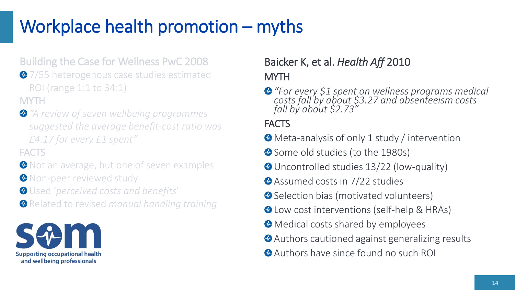# Workplace health promotion – myths

Building the Case for Wellness PwC 2008 **◆7/55 heterogenous case studies estimated** ROI (range 1:1 to 34:1) **MYTH** 

*"A review of seven wellbeing programmes suggested the average benefit-cost ratio was £4.17 for every £1 spent"*

**FACTS** 

- **O** Not an average, but one of seven examples **<sup>O</sup>** Non-peer reviewed study
- Used '*perceived costs and benefits*'
- Related to revised *manual handling training*



#### Baicker K, et al. *Health Aff* 2010

#### **MYTH**

*"For every \$1 spent on wellness programs medical costs fall by about \$3.27 and absenteeism costs fall by about \$2.73"*

#### **FACTS**

- Meta-analysis of only 1 study / intervention
- Some old studies (to the 1980s)
- Uncontrolled studies 13/22 (low-quality)
- **Assumed costs in 7/22 studies**
- **Selection bias (motivated volunteers)**
- **O** Low cost interventions (self-help & HRAs)
- $\bullet$  Medical costs shared by employees
- Authors cautioned against generalizing results
- Authors have since found no such ROI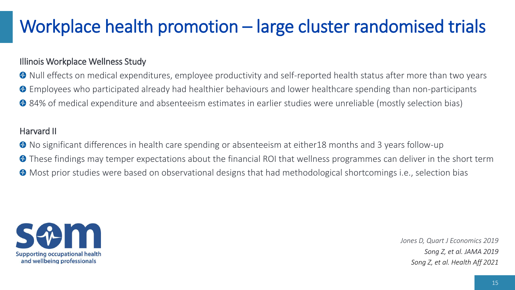# Workplace health promotion – large cluster randomised trials

#### Illinois Workplace Wellness Study

Null effects on medical expenditures, employee productivity and self-reported health status after more than two years Employees who participated already had healthier behaviours and lower healthcare spending than non-participants <sup>2</sup> 84% of medical expenditure and absenteeism estimates in earlier studies were unreliable (mostly selection bias)

#### Harvard II

No significant differences in health care spending or absenteeism at either18 months and 3 years follow-up  $\bullet$  These findings may temper expectations about the financial ROI that wellness programmes can deliver in the short term Most prior studies were based on observational designs that had methodological shortcomings i.e., selection bias



*Jones D, Quart J Economics 2019 Song Z, et al. JAMA 2019 Song Z, et al. Health Aff 2021*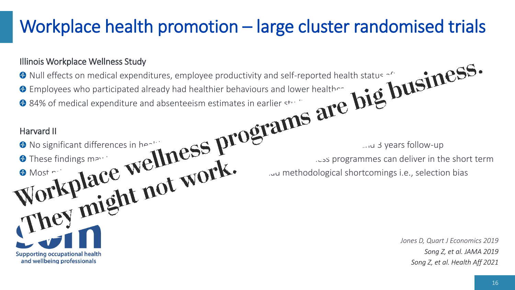# Workplace health promotion – large cluster randomised trials

#### Illinois Workplace Wellness Study

Null effects on medical expenditures, employee productivity and self-reported health status  $\sim$  and  $\sim$ Employees who participated already had healthier behaviours and lower healthcare spending than  $\mathbb{R}$ 84% of medical expenditure and absenteeism estimates in earlier studies were unreliable (mostly selection bias)

#### Harvard II

No significant differences in health care spending or absent the spending or absent to the spending or absent of  $\alpha$ 

These findings may team that  $\mathbf{D}$  that we have that we have term is sprogrammes can deliver in the short term

Most prior  $\mathbf{1}_{\Omega}$   $\Omega$ ,  $\mathbf{P}$  and  $\mathbf{P}$  and methodological shortcomings i.e., selection bias

*Jones D, Quart J Economics 2019 Song Z, et al. JAMA 2019 Song Z, et al. Health Aff 2021*

**Supporting occupational health** and wellbeing professionals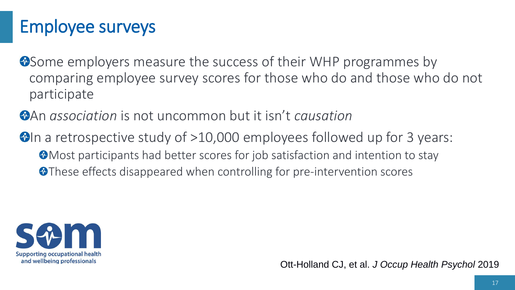# Employee surveys

**W** Some employers measure the success of their WHP programmes by comparing employee survey scores for those who do and those who do not participate

An *association* is not uncommon but it isn't *causation*

 $\bullet$  In a retrospective study of  $>10,000$  employees followed up for 3 years: **Most participants had better scores for job satisfaction and intention to stay O**These effects disappeared when controlling for pre-intervention scores



Ott-Holland CJ, et al. *J Occup Health Psychol* 2019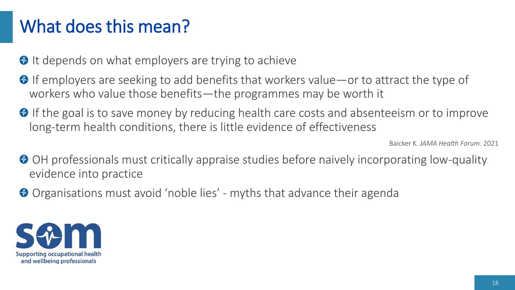### What does this mean?

<sup>O</sup> It depends on what employers are trying to achieve

- $\bullet$  If employers are seeking to add benefits that workers value—or to attract the type of workers who value those benefits—the programmes may be worth it
- **O** If the goal is to save money by reducing health care costs and absenteeism or to improve long-term health conditions, there is little evidence of effectiveness

Baicker K. *JAMA Health Forum.* 2021

- <sup>O</sup> OH professionals must critically appraise studies before naively incorporating low-quality evidence into practice
- **O** Organisations must avoid 'noble lies' myths that advance their agenda

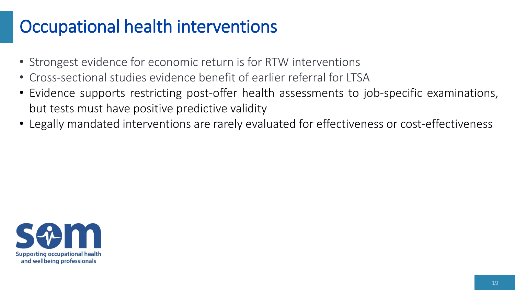## Occupational health interventions

- Strongest evidence for economic return is for RTW interventions
- Cross-sectional studies evidence benefit of earlier referral for LTSA
- Evidence supports restricting post-offer health assessments to job-specific examinations, but tests must have positive predictive validity
- Legally mandated interventions are rarely evaluated for effectiveness or cost-effectiveness

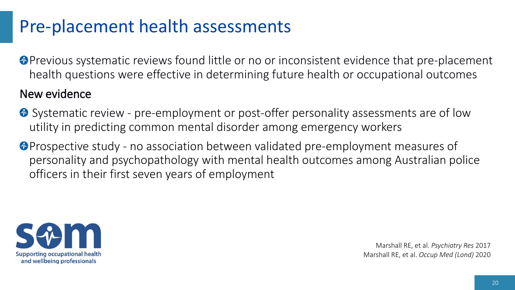## Pre-placement health assessments

- **Previous systematic reviews found little or no or inconsistent evidence that pre-placement** health questions were effective in determining future health or occupational outcomes New evidence
- **O** Systematic review pre-employment or post-offer personality assessments are of low
	- utility in predicting common mental disorder among emergency workers
	- **Prospective study no association between validated pre-employment measures of** personality and psychopathology with mental health outcomes among Australian police officers in their first seven years of employment



Marshall RE, et al. *Psychiatry Res* 2017 Marshall RE, et al. *Occup Med (Lond)* 2020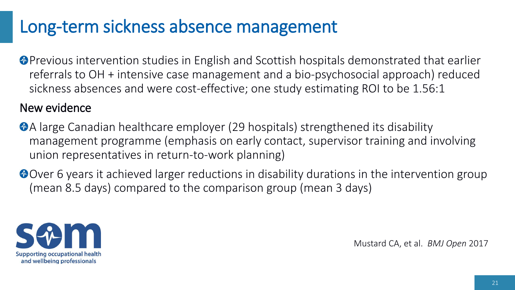### Long-term sickness absence management

**P** Previous intervention studies in English and Scottish hospitals demonstrated that earlier referrals to OH + intensive case management and a bio-psychosocial approach) reduced sickness absences and were cost-effective; one study estimating ROI to be 1.56:1

#### New evidence

A large Canadian healthcare employer (29 hospitals) strengthened its disability management programme (emphasis on early contact, supervisor training and involving union representatives in return-to-work planning)

Over 6 years it achieved larger reductions in disability durations in the intervention group (mean 8.5 days) compared to the comparison group (mean 3 days)



Mustard CA, et al. *BMJ Open* 2017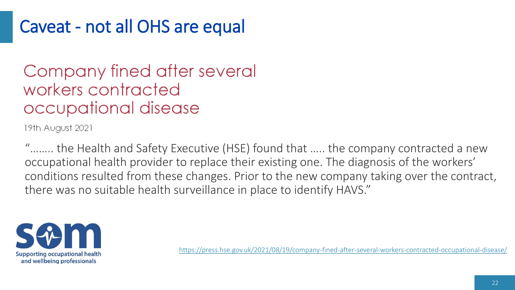## Caveat - not all OHS are equal

### Company fined after several workers contracted occupational disease

19th August 2021

"…….. the Health and Safety Executive (HSE) found that ….. the company contracted a new occupational health provider to replace their existing one. The diagnosis of the workers' conditions resulted from these changes. Prior to the new company taking over the contract, there was no suitable health surveillance in place to identify HAVS."



<https://press.hse.gov.uk/2021/08/19/company-fined-after-several-workers-contracted-occupational-disease/>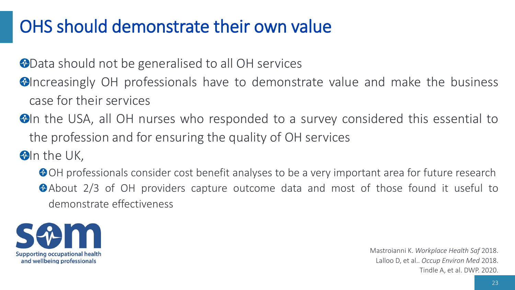## OHS should demonstrate their own value

**OData should not be generalised to all OH services** 

- **Ondenally OH** professionals have to demonstrate value and make the business case for their services
- **D**In the USA, all OH nurses who responded to a survey considered this essential to the profession and for ensuring the quality of OH services

 $\bigcirc$ In the UK,

OH professionals consider cost benefit analyses to be a very important area for future research About 2/3 of OH providers capture outcome data and most of those found it useful to demonstrate effectiveness



Mastroianni K. *Workplace Health Saf* 2018. Lalloo D, et al.. *Occup Environ Med* 2018. Tindle A, et al. DWP. 2020.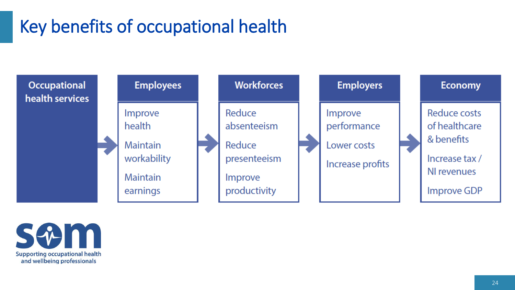# Key benefits of occupational health



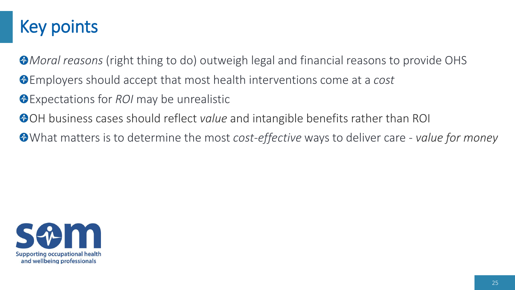## Key points

*Moral reasons* (right thing to do) outweigh legal and financial reasons to provide OHS Employers should accept that most health interventions come at a *cost*

- Expectations for *ROI* may be unrealistic
- OH business cases should reflect *value* and intangible benefits rather than ROI

What matters is to determine the most *cost-effective* ways to deliver care - *value for money*